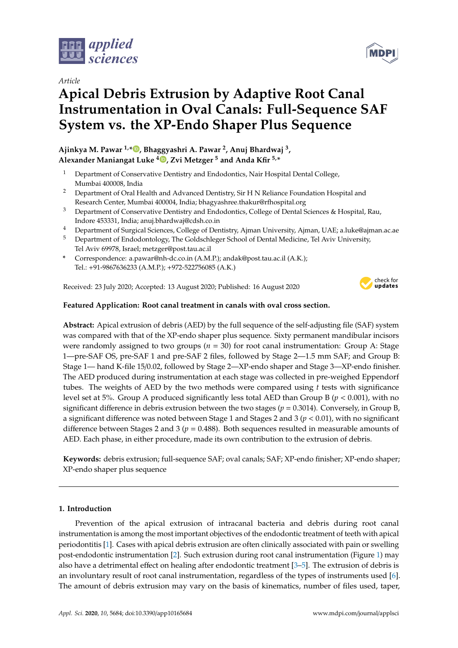

*Article*

# **Apical Debris Extrusion by Adaptive Root Canal Instrumentation in Oval Canals: Full-Sequence SAF System vs. the XP-Endo Shaper Plus Sequence**

**Ajinkya M. Pawar 1,\* , Bhaggyashri A. Pawar <sup>2</sup> , Anuj Bhardwaj <sup>3</sup> , Alexander Maniangat Luke <sup>4</sup> , Zvi Metzger <sup>5</sup> and Anda Kfir 5,\***

- <sup>1</sup> Department of Conservative Dentistry and Endodontics, Nair Hospital Dental College, Mumbai 400008, India
- <sup>2</sup> Department of Oral Health and Advanced Dentistry, Sir H N Reliance Foundation Hospital and Research Center, Mumbai 400004, India; bhagyashree.thakur@rfhospital.org
- <sup>3</sup> Department of Conservative Dentistry and Endodontics, College of Dental Sciences & Hospital, Rau, Indore 453331, India; anuj.bhardwaj@cdsh.co.in
- <sup>4</sup> Department of Surgical Sciences, College of Dentistry, Ajman University, Ajman, UAE; a.luke@ajman.ac.ae
- <sup>5</sup> Department of Endodontology, The Goldschleger School of Dental Medicine, Tel Aviv University, Tel Aviv 69978, Israel; metzger@post.tau.ac.il
- **\*** Correspondence: a.pawar@nh-dc.co.in (A.M.P.); andak@post.tau.ac.il (A.K.); Tel.: +91-9867636233 (A.M.P.); +972-522756085 (A.K.)

Received: 23 July 2020; Accepted: 13 August 2020; Published: 16 August 2020



# **Featured Application: Root canal treatment in canals with oval cross section.**

**Abstract:** Apical extrusion of debris (AED) by the full sequence of the self-adjusting file (SAF) system was compared with that of the XP-endo shaper plus sequence. Sixty permanent mandibular incisors were randomly assigned to two groups (*n* = 30) for root canal instrumentation: Group A: Stage 1—pre-SAF OS, pre-SAF 1 and pre-SAF 2 files, followed by Stage 2—1.5 mm SAF; and Group B: Stage 1— hand K-file 15/0.02, followed by Stage 2—XP-endo shaper and Stage 3—XP-endo finisher. The AED produced during instrumentation at each stage was collected in pre-weighed Eppendorf tubes. The weights of AED by the two methods were compared using *t* tests with significance level set at 5%. Group A produced significantly less total AED than Group B (*p* < 0.001), with no significant difference in debris extrusion between the two stages (*p* = 0.3014). Conversely, in Group B, a significant difference was noted between Stage 1 and Stages 2 and 3 (*p* < 0.01), with no significant difference between Stages 2 and 3 (*p* = 0.488). Both sequences resulted in measurable amounts of AED. Each phase, in either procedure, made its own contribution to the extrusion of debris.

**Keywords:** debris extrusion; full-sequence SAF; oval canals; SAF; XP-endo finisher; XP-endo shaper; XP-endo shaper plus sequence

# **1. Introduction**

Prevention of the apical extrusion of intracanal bacteria and debris during root canal instrumentation is among the most important objectives of the endodontic treatment of teeth with apical periodontitis [1]. Cases with apical debris extrusion are often clinically associated with pain or swelling post-endodontic instrumentation [2]. Such extrusion during root canal instrumentation (Figure 1) may also have a detrimental effect on healing after endodontic treatment [3–5]. The extrusion of debris is an involuntary result of root canal instrumentation, regardless of the types of instruments used [6]. The amount of debris extrusion may vary on the basis of kinematics, number of files used, taper,

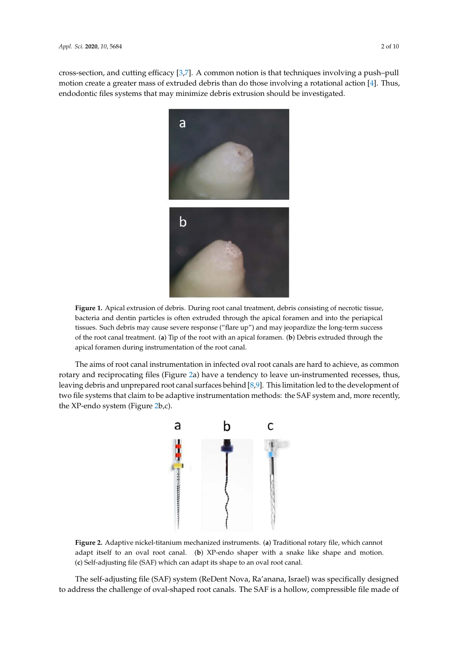cross-section, and cutting efficacy [3,7]. A common notion is that techniques involving a push–pull motion create a greater mass of extruded debris than do those involving a rotational action [4]. Thus, endodontic files systems that may minimize debris extrusion should be investigated.



**Figure 1.** Apical extrusion of debris. During root canal treatment, debris consisting of necrotic tissue, bacteria and dentin particles is often extruded through the apical foramen and into the periapical tissues. Such debris may cause severe response ("flare up") and may jeopardize the long-term success of the root canal treatment. (**a**) Tip of the root with an apical foramen. (**b**) Debris extruded through the apical foramen during instrumentation of the root canal.

The aims of root canal instrumentation in infected oval root canals are hard to achieve, as common rotary and reciprocating files (Figure 2a) have a tendency to leave un-instrumented recesses, thus, leaving debris and unprepared root canal surfaces behind [8,9]. This limitation led to the development of two file systems that claim to be adaptive instrumentation methods: the SAF system and, more recently, the XP-endo system (Figure 2b,c).



**Figure 2.** Adaptive nickel-titanium mechanized instruments. (**a**) Traditional rotary file, which cannot adapt itself to an oval root canal. (**b**) XP-endo shaper with a snake like shape and motion. (**c**) Self-adjusting file (SAF) which can adapt its shape to an oval root canal.

The self-adjusting file (SAF) system (ReDent Nova, Ra'anana, Israel) was specifically designed to address the challenge of oval-shaped root canals. The SAF is a hollow, compressible file made of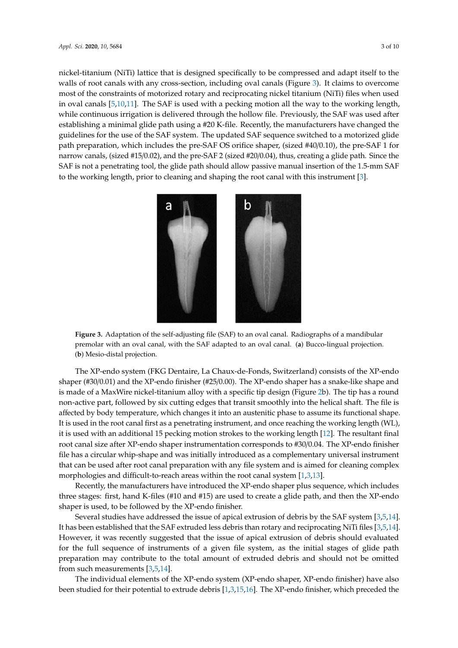nickel-titanium (NiTi) lattice that is designed specifically to be compressed and adapt itself to the walls of root canals with any cross-section, including oval canals (Figure 3). It claims to overcome most of the constraints of motorized rotary and reciprocating nickel titanium (NiTi) files when used in oval canals [5,10,11]. The SAF is used with a pecking motion all the way to the working length, while continuous irrigation is delivered through the hollow file. Previously, the SAF was used after establishing a minimal glide path using a #20 K-file. Recently, the manufacturers have changed the guidelines for the use of the SAF system. The updated SAF sequence switched to a motorized glide path preparation, which includes the pre-SAF OS orifice shaper, (sized #40/0.10), the pre-SAF 1 for narrow canals, (sized #15/0.02), and the pre-SAF 2 (sized #20/0.04), thus, creating a glide path. Since the SAF is not a penetrating tool, the glide path should allow passive manual insertion of the 1.5-mm SAF to the working length, prior to cleaning and shaping the root canal with this instrument [3].



**Figure 3.** Adaptation of the self-adjusting file (SAF) to an oval canal. Radiographs of a mandibular premolar with an oval canal, with the SAF adapted to an oval canal. (**a**) Bucco-lingual projection. (**b**) Mesio-distal projection.

The XP-endo system (FKG Dentaire, La Chaux-de-Fonds, Switzerland) consists of the XP-endo shaper (#30/0.01) and the XP-endo finisher (#25/0.00). The XP-endo shaper has a snake-like shape and is made of a MaxWire nickel-titanium alloy with a specific tip design (Figure 2b). The tip has a round non-active part, followed by six cutting edges that transit smoothly into the helical shaft. The file is affected by body temperature, which changes it into an austenitic phase to assume its functional shape. It is used in the root canal first as a penetrating instrument, and once reaching the working length (WL), it is used with an additional 15 pecking motion strokes to the working length [12]. The resultant final root canal size after XP-endo shaper instrumentation corresponds to #30/0.04. The XP-endo finisher file has a circular whip-shape and was initially introduced as a complementary universal instrument that can be used after root canal preparation with any file system and is aimed for cleaning complex morphologies and difficult-to-reach areas within the root canal system [1,3,13].

Recently, the manufacturers have introduced the XP-endo shaper plus sequence, which includes three stages: first, hand K-files (#10 and #15) are used to create a glide path, and then the XP-endo shaper is used, to be followed by the XP-endo finisher.

Several studies have addressed the issue of apical extrusion of debris by the SAF system [3,5,14]. It has been established that the SAF extruded less debris than rotary and reciprocating NiTi files [3,5,14]. However, it was recently suggested that the issue of apical extrusion of debris should evaluated for the full sequence of instruments of a given file system, as the initial stages of glide path preparation may contribute to the total amount of extruded debris and should not be omitted from such measurements [3,5,14].

The individual elements of the XP-endo system (XP-endo shaper, XP-endo finisher) have also been studied for their potential to extrude debris [1,3,15,16]. The XP-endo finisher, which preceded the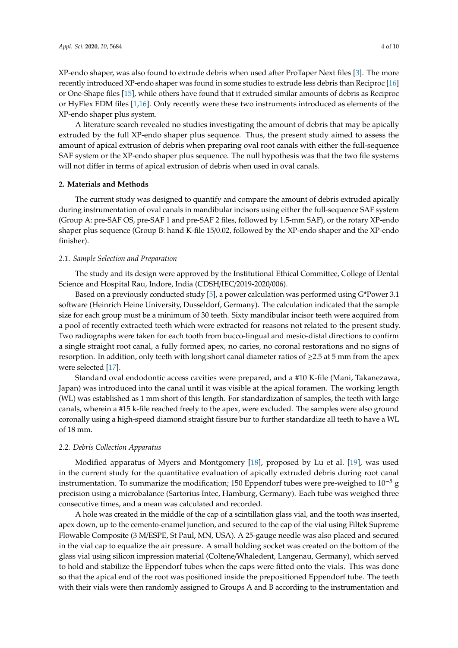XP-endo shaper, was also found to extrude debris when used after ProTaper Next files [3]. The more recently introduced XP-endo shaper was found in some studies to extrude less debris than Reciproc [16] or One-Shape files [15], while others have found that it extruded similar amounts of debris as Reciproc or HyFlex EDM files [1,16]. Only recently were these two instruments introduced as elements of the XP-endo shaper plus system.

A literature search revealed no studies investigating the amount of debris that may be apically extruded by the full XP-endo shaper plus sequence. Thus, the present study aimed to assess the amount of apical extrusion of debris when preparing oval root canals with either the full-sequence SAF system or the XP-endo shaper plus sequence. The null hypothesis was that the two file systems will not differ in terms of apical extrusion of debris when used in oval canals.

## **2. Materials and Methods**

The current study was designed to quantify and compare the amount of debris extruded apically during instrumentation of oval canals in mandibular incisors using either the full-sequence SAF system (Group A: pre-SAF OS, pre-SAF 1 and pre-SAF 2 files, followed by 1.5-mm SAF), or the rotary XP-endo shaper plus sequence (Group B: hand K-file 15/0.02, followed by the XP-endo shaper and the XP-endo finisher).

# *2.1. Sample Selection and Preparation*

The study and its design were approved by the Institutional Ethical Committee, College of Dental Science and Hospital Rau, Indore, India (CDSH/IEC/2019-2020/006).

Based on a previously conducted study [5], a power calculation was performed using G\*Power 3.1 software (Heinrich Heine University, Dusseldorf, Germany). The calculation indicated that the sample size for each group must be a minimum of 30 teeth. Sixty mandibular incisor teeth were acquired from a pool of recently extracted teeth which were extracted for reasons not related to the present study. Two radiographs were taken for each tooth from bucco-lingual and mesio-distal directions to confirm a single straight root canal, a fully formed apex, no caries, no coronal restorations and no signs of resorption. In addition, only teeth with long:short canal diameter ratios of ≥2.5 at 5 mm from the apex were selected [17].

Standard oval endodontic access cavities were prepared, and a #10 K-file (Mani, Takanezawa, Japan) was introduced into the canal until it was visible at the apical foramen. The working length (WL) was established as 1 mm short of this length. For standardization of samples, the teeth with large canals, wherein a #15 k-file reached freely to the apex, were excluded. The samples were also ground coronally using a high-speed diamond straight fissure bur to further standardize all teeth to have a WL of 18 mm.

#### *2.2. Debris Collection Apparatus*

Modified apparatus of Myers and Montgomery [18], proposed by Lu et al. [19], was used in the current study for the quantitative evaluation of apically extruded debris during root canal instrumentation. To summarize the modification; 150 Eppendorf tubes were pre-weighed to  $10^{-5}$  g precision using a microbalance (Sartorius Intec, Hamburg, Germany). Each tube was weighed three consecutive times, and a mean was calculated and recorded.

A hole was created in the middle of the cap of a scintillation glass vial, and the tooth was inserted, apex down, up to the cemento-enamel junction, and secured to the cap of the vial using Filtek Supreme Flowable Composite (3 M/ESPE, St Paul, MN, USA). A 25-gauge needle was also placed and secured in the vial cap to equalize the air pressure. A small holding socket was created on the bottom of the glass vial using silicon impression material (Coltene/Whaledent, Langenau, Germany), which served to hold and stabilize the Eppendorf tubes when the caps were fitted onto the vials. This was done so that the apical end of the root was positioned inside the prepositioned Eppendorf tube. The teeth with their vials were then randomly assigned to Groups A and B according to the instrumentation and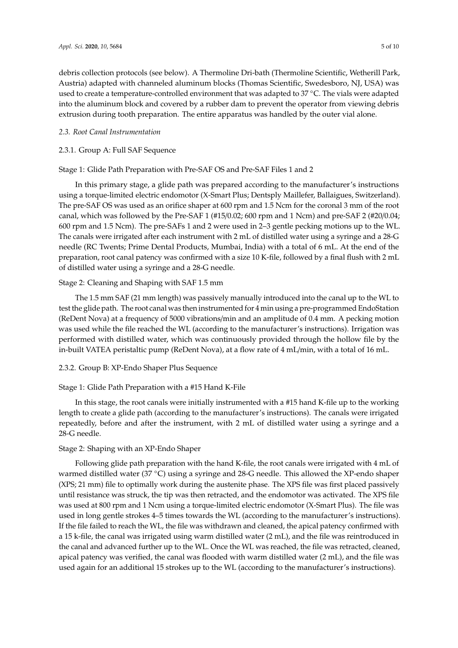debris collection protocols (see below). A Thermoline Dri-bath (Thermoline Scientific, Wetherill Park, Austria) adapted with channeled aluminum blocks (Thomas Scientific, Swedesboro, NJ, USA) was used to create a temperature-controlled environment that was adapted to 37 ◦C. The vials were adapted into the aluminum block and covered by a rubber dam to prevent the operator from viewing debris extrusion during tooth preparation. The entire apparatus was handled by the outer vial alone.

#### *2.3. Root Canal Instrumentation*

# 2.3.1. Group A: Full SAF Sequence

## Stage 1: Glide Path Preparation with Pre-SAF OS and Pre-SAF Files 1 and 2

In this primary stage, a glide path was prepared according to the manufacturer's instructions using a torque-limited electric endomotor (X-Smart Plus; Dentsply Maillefer, Ballaigues, Switzerland). The pre-SAF OS was used as an orifice shaper at 600 rpm and 1.5 Ncm for the coronal 3 mm of the root canal, which was followed by the Pre-SAF 1 (#15/0.02; 600 rpm and 1 Ncm) and pre-SAF 2 (#20/0.04; 600 rpm and 1.5 Ncm). The pre-SAFs 1 and 2 were used in 2–3 gentle pecking motions up to the WL. The canals were irrigated after each instrument with 2 mL of distilled water using a syringe and a 28-G needle (RC Twents; Prime Dental Products, Mumbai, India) with a total of 6 mL. At the end of the preparation, root canal patency was confirmed with a size 10 K-file, followed by a final flush with 2 mL of distilled water using a syringe and a 28-G needle.

# Stage 2: Cleaning and Shaping with SAF 1.5 mm

The 1.5 mm SAF (21 mm length) was passively manually introduced into the canal up to the WL to test the glide path. The root canal was then instrumented for 4 min using a pre-programmed EndoStation (ReDent Nova) at a frequency of 5000 vibrations/min and an amplitude of 0.4 mm. A pecking motion was used while the file reached the WL (according to the manufacturer's instructions). Irrigation was performed with distilled water, which was continuously provided through the hollow file by the in-built VATEA peristaltic pump (ReDent Nova), at a flow rate of 4 mL/min, with a total of 16 mL.

# 2.3.2. Group B: XP-Endo Shaper Plus Sequence

# Stage 1: Glide Path Preparation with a #15 Hand K-File

In this stage, the root canals were initially instrumented with a #15 hand K-file up to the working length to create a glide path (according to the manufacturer's instructions). The canals were irrigated repeatedly, before and after the instrument, with 2 mL of distilled water using a syringe and a 28-G needle.

# Stage 2: Shaping with an XP-Endo Shaper

Following glide path preparation with the hand K-file, the root canals were irrigated with 4 mL of warmed distilled water (37 °C) using a syringe and 28-G needle. This allowed the XP-endo shaper (XPS; 21 mm) file to optimally work during the austenite phase. The XPS file was first placed passively until resistance was struck, the tip was then retracted, and the endomotor was activated. The XPS file was used at 800 rpm and 1 Ncm using a torque-limited electric endomotor (X-Smart Plus). The file was used in long gentle strokes 4–5 times towards the WL (according to the manufacturer's instructions). If the file failed to reach the WL, the file was withdrawn and cleaned, the apical patency confirmed with a 15 k-file, the canal was irrigated using warm distilled water (2 mL), and the file was reintroduced in the canal and advanced further up to the WL. Once the WL was reached, the file was retracted, cleaned, apical patency was verified, the canal was flooded with warm distilled water (2 mL), and the file was used again for an additional 15 strokes up to the WL (according to the manufacturer's instructions).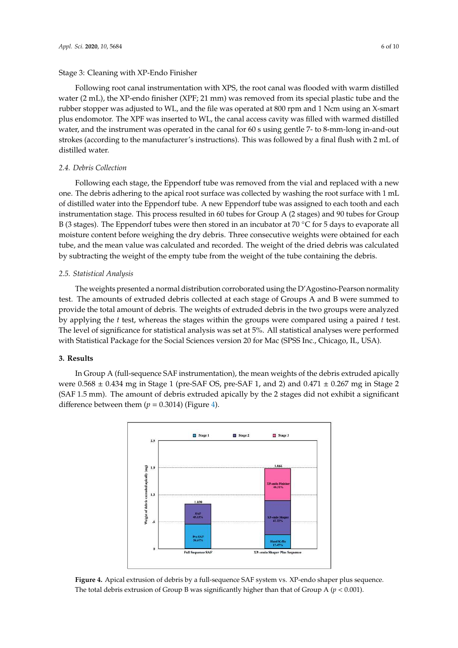#### Stage 3: Cleaning with XP-Endo Finisher

Following root canal instrumentation with XPS, the root canal was flooded with warm distilled water (2 mL), the XP-endo finisher (XPF; 21 mm) was removed from its special plastic tube and the rubber stopper was adjusted to WL, and the file was operated at 800 rpm and 1 Ncm using an X-smart plus endomotor. The XPF was inserted to WL, the canal access cavity was filled with warmed distilled water, and the instrument was operated in the canal for 60 s using gentle 7- to 8-mm-long in-and-out strokes (according to the manufacturer's instructions). This was followed by a final flush with 2 mL of distilled water.

# *2.4. Debris Collection*

Following each stage, the Eppendorf tube was removed from the vial and replaced with a new one. The debris adhering to the apical root surface was collected by washing the root surface with 1 mL of distilled water into the Eppendorf tube. A new Eppendorf tube was assigned to each tooth and each instrumentation stage. This process resulted in 60 tubes for Group A (2 stages) and 90 tubes for Group B (3 stages). The Eppendorf tubes were then stored in an incubator at 70 ◦C for 5 days to evaporate all moisture content before weighing the dry debris. Three consecutive weights were obtained for each tube, and the mean value was calculated and recorded. The weight of the dried debris was calculated by subtracting the weight of the empty tube from the weight of the tube containing the debris.

# *2.5. Statistical Analysis*

The weights presented a normal distribution corroborated using the D'Agostino-Pearson normality test. The amounts of extruded debris collected at each stage of Groups A and B were summed to provide the total amount of debris. The weights of extruded debris in the two groups were analyzed by applying the *t* test, whereas the stages within the groups were compared using a paired *t* test. The level of significance for statistical analysis was set at 5%. All statistical analyses were performed with Statistical Package for the Social Sciences version 20 for Mac (SPSS Inc., Chicago, IL, USA).

## **3. Results**

In Group A (full-sequence SAF instrumentation), the mean weights of the debris extruded apically were  $0.568 \pm 0.434$  mg in Stage 1 (pre-SAF OS, pre-SAF 1, and 2) and  $0.471 \pm 0.267$  mg in Stage 2 (SAF 1.5 mm). The amount of debris extruded apically by the 2 stages did not exhibit a significant difference between them  $(p = 0.3014)$  (Figure 4).



**Figure 4.** Apical extrusion of debris by a full-sequence SAF system vs. XP-endo shaper plus sequence. The total debris extrusion of Group B was significantly higher than that of Group A (*p* < 0.001).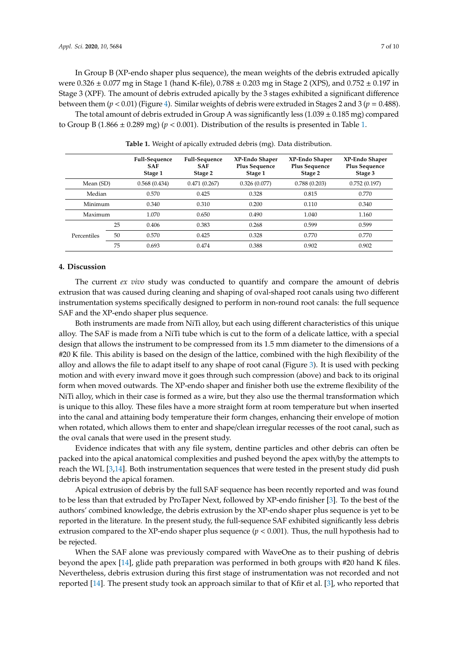In Group B (XP-endo shaper plus sequence), the mean weights of the debris extruded apically were 0.326 ± 0.077 mg in Stage 1 (hand K-file), 0.788 ± 0.203 mg in Stage 2 (XPS), and 0.752 ± 0.197 in Stage 3 (XPF). The amount of debris extruded apically by the 3 stages exhibited a significant difference between them (*p* < 0.01) (Figure 4). Similar weights of debris were extruded in Stages 2 and 3 (*p* = 0.488).

The total amount of debris extruded in Group A was significantly less  $(1.039 \pm 0.185 \text{ mg})$  compared to Group B (1.866  $\pm$  0.289 mg) ( $p < 0.001$ ). Distribution of the results is presented in Table 1.

|             |    | <b>Full-Sequence</b><br><b>SAF</b><br>Stage 1 | <b>Full-Sequence</b><br><b>SAF</b><br>Stage 2 | XP-Endo Shaper<br><b>Plus Sequence</b><br>Stage 1 | XP-Endo Shaper<br><b>Plus Sequence</b><br>Stage 2 | XP-Endo Shaper<br><b>Plus Sequence</b><br>Stage 3 |
|-------------|----|-----------------------------------------------|-----------------------------------------------|---------------------------------------------------|---------------------------------------------------|---------------------------------------------------|
| Mean (SD)   |    | 0.568(0.434)                                  | 0.471(0.267)                                  | 0.326(0.077)                                      | 0.788(0.203)                                      | 0.752(0.197)                                      |
| Median      |    | 0.570                                         | 0.425                                         | 0.328                                             | 0.815                                             | 0.770                                             |
| Minimum     |    | 0.340                                         | 0.310                                         | 0.200                                             | 0.110                                             | 0.340                                             |
| Maximum     |    | 1.070                                         | 0.650                                         | 0.490                                             | 1.040                                             | 1.160                                             |
|             | 25 | 0.406                                         | 0.383                                         | 0.268                                             | 0.599                                             | 0.599                                             |
| Percentiles | 50 | 0.570                                         | 0.425                                         | 0.328                                             | 0.770                                             | 0.770                                             |
|             | 75 | 0.693                                         | 0.474                                         | 0.388                                             | 0.902                                             | 0.902                                             |

**Table 1.** Weight of apically extruded debris (mg). Data distribution.

#### **4. Discussion**

The current *ex vivo* study was conducted to quantify and compare the amount of debris extrusion that was caused during cleaning and shaping of oval-shaped root canals using two different instrumentation systems specifically designed to perform in non-round root canals: the full sequence SAF and the XP-endo shaper plus sequence.

Both instruments are made from NiTi alloy, but each using different characteristics of this unique alloy. The SAF is made from a NiTi tube which is cut to the form of a delicate lattice, with a special design that allows the instrument to be compressed from its 1.5 mm diameter to the dimensions of a #20 K file. This ability is based on the design of the lattice, combined with the high flexibility of the alloy and allows the file to adapt itself to any shape of root canal (Figure 3). It is used with pecking motion and with every inward move it goes through such compression (above) and back to its original form when moved outwards. The XP-endo shaper and finisher both use the extreme flexibility of the NiTi alloy, which in their case is formed as a wire, but they also use the thermal transformation which is unique to this alloy. These files have a more straight form at room temperature but when inserted into the canal and attaining body temperature their form changes, enhancing their envelope of motion when rotated, which allows them to enter and shape/clean irregular recesses of the root canal, such as the oval canals that were used in the present study.

Evidence indicates that with any file system, dentine particles and other debris can often be packed into the apical anatomical complexities and pushed beyond the apex with/by the attempts to reach the WL [3,14]. Both instrumentation sequences that were tested in the present study did push debris beyond the apical foramen.

Apical extrusion of debris by the full SAF sequence has been recently reported and was found to be less than that extruded by ProTaper Next, followed by XP-endo finisher [3]. To the best of the authors' combined knowledge, the debris extrusion by the XP-endo shaper plus sequence is yet to be reported in the literature. In the present study, the full-sequence SAF exhibited significantly less debris extrusion compared to the XP-endo shaper plus sequence  $(p < 0.001)$ . Thus, the null hypothesis had to be rejected.

When the SAF alone was previously compared with WaveOne as to their pushing of debris beyond the apex [14], glide path preparation was performed in both groups with #20 hand K files. Nevertheless, debris extrusion during this first stage of instrumentation was not recorded and not reported [14]. The present study took an approach similar to that of Kfir et al. [3], who reported that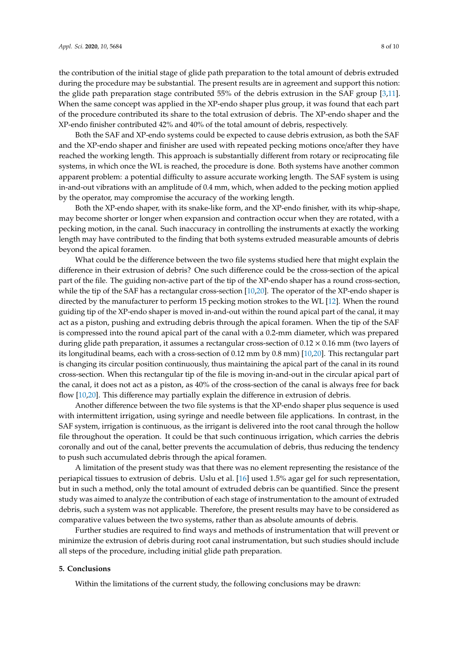the contribution of the initial stage of glide path preparation to the total amount of debris extruded during the procedure may be substantial. The present results are in agreement and support this notion: the glide path preparation stage contributed 55% of the debris extrusion in the SAF group [3,11]. When the same concept was applied in the XP-endo shaper plus group, it was found that each part of the procedure contributed its share to the total extrusion of debris. The XP-endo shaper and the XP-endo finisher contributed 42% and 40% of the total amount of debris, respectively.

Both the SAF and XP-endo systems could be expected to cause debris extrusion, as both the SAF and the XP-endo shaper and finisher are used with repeated pecking motions once/after they have reached the working length. This approach is substantially different from rotary or reciprocating file systems, in which once the WL is reached, the procedure is done. Both systems have another common apparent problem: a potential difficulty to assure accurate working length. The SAF system is using in-and-out vibrations with an amplitude of 0.4 mm, which, when added to the pecking motion applied by the operator, may compromise the accuracy of the working length.

Both the XP-endo shaper, with its snake-like form, and the XP-endo finisher, with its whip-shape, may become shorter or longer when expansion and contraction occur when they are rotated, with a pecking motion, in the canal. Such inaccuracy in controlling the instruments at exactly the working length may have contributed to the finding that both systems extruded measurable amounts of debris beyond the apical foramen.

What could be the difference between the two file systems studied here that might explain the difference in their extrusion of debris? One such difference could be the cross-section of the apical part of the file. The guiding non-active part of the tip of the XP-endo shaper has a round cross-section, while the tip of the SAF has a rectangular cross-section [10,20]. The operator of the XP-endo shaper is directed by the manufacturer to perform 15 pecking motion strokes to the WL [12]. When the round guiding tip of the XP-endo shaper is moved in-and-out within the round apical part of the canal, it may act as a piston, pushing and extruding debris through the apical foramen. When the tip of the SAF is compressed into the round apical part of the canal with a 0.2-mm diameter, which was prepared during glide path preparation, it assumes a rectangular cross-section of  $0.12 \times 0.16$  mm (two layers of its longitudinal beams, each with a cross-section of 0.12 mm by 0.8 mm) [10,20]. This rectangular part is changing its circular position continuously, thus maintaining the apical part of the canal in its round cross-section. When this rectangular tip of the file is moving in-and-out in the circular apical part of the canal, it does not act as a piston, as 40% of the cross-section of the canal is always free for back flow [10,20]. This difference may partially explain the difference in extrusion of debris.

Another difference between the two file systems is that the XP-endo shaper plus sequence is used with intermittent irrigation, using syringe and needle between file applications. In contrast, in the SAF system, irrigation is continuous, as the irrigant is delivered into the root canal through the hollow file throughout the operation. It could be that such continuous irrigation, which carries the debris coronally and out of the canal, better prevents the accumulation of debris, thus reducing the tendency to push such accumulated debris through the apical foramen.

A limitation of the present study was that there was no element representing the resistance of the periapical tissues to extrusion of debris. Uslu et al. [16] used 1.5% agar gel for such representation, but in such a method, only the total amount of extruded debris can be quantified. Since the present study was aimed to analyze the contribution of each stage of instrumentation to the amount of extruded debris, such a system was not applicable. Therefore, the present results may have to be considered as comparative values between the two systems, rather than as absolute amounts of debris.

Further studies are required to find ways and methods of instrumentation that will prevent or minimize the extrusion of debris during root canal instrumentation, but such studies should include all steps of the procedure, including initial glide path preparation.

#### **5. Conclusions**

Within the limitations of the current study, the following conclusions may be drawn: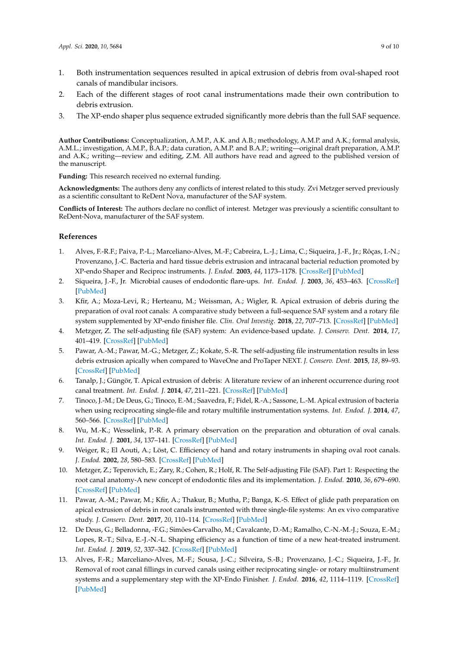- 1. Both instrumentation sequences resulted in apical extrusion of debris from oval-shaped root canals of mandibular incisors.
- 2. Each of the different stages of root canal instrumentations made their own contribution to debris extrusion.
- 3. The XP-endo shaper plus sequence extruded significantly more debris than the full SAF sequence.

**Author Contributions:** Conceptualization, A.M.P., A.K. and A.B.; methodology, A.M.P. and A.K.; formal analysis, A.M.L.; investigation, A.M.P., B.A.P.; data curation, A.M.P. and B.A.P.; writing—original draft preparation, A.M.P. and A.K.; writing—review and editing, Z.M. All authors have read and agreed to the published version of the manuscript.

**Funding:** This research received no external funding.

**Acknowledgments:** The authors deny any conflicts of interest related to this study. Zvi Metzger served previously as a scientific consultant to ReDent Nova, manufacturer of the SAF system.

**Conflicts of Interest:** The authors declare no conflict of interest. Metzger was previously a scientific consultant to ReDent-Nova, manufacturer of the SAF system.

# **References**

- 1. Alves, F.-R.F.; Paiva, P.-L.; Marceliano-Alves, M.-F.; Cabreira, L.-J.; Lima, C.; Siqueira, J.-F., Jr.; Rôças, I.-N.; Provenzano, J.-C. Bacteria and hard tissue debris extrusion and intracanal bacterial reduction promoted by XP-endo Shaper and Reciproc instruments. *J. Endod.* **2003**, *44*, 1173–1178. [CrossRef] [PubMed]
- 2. Siqueira, J.-F., Jr. Microbial causes of endodontic flare-ups. *Int. Endod. J.* **2003**, *36*, 453–463. [CrossRef] [PubMed]
- 3. Kfir, A.; Moza-Levi, R.; Herteanu, M.; Weissman, A.; Wigler, R. Apical extrusion of debris during the preparation of oval root canals: A comparative study between a full-sequence SAF system and a rotary file system supplemented by XP-endo finisher file. *Clin. Oral Investig.* **2018**, *22*, 707–713. [CrossRef] [PubMed]
- 4. Metzger, Z. The self-adjusting file (SAF) system: An evidence-based update. *J. Conserv. Dent.* **2014**, *17*, 401–419. [CrossRef] [PubMed]
- 5. Pawar, A.-M.; Pawar, M.-G.; Metzger, Z.; Kokate, S.-R. The self-adjusting file instrumentation results in less debris extrusion apically when compared to WaveOne and ProTaper NEXT. *J. Conserv. Dent.* **2015**, *18*, 89–93. [CrossRef] [PubMed]
- 6. Tanalp, J.; Güngör, T. Apical extrusion of debris: A literature review of an inherent occurrence during root canal treatment. *Int. Endod. J.* **2014**, *47*, 211–221. [CrossRef] [PubMed]
- 7. Tinoco, J.-M.; De Deus, G.; Tinoco, E.-M.; Saavedra, F.; Fidel, R.-A.; Sassone, L.-M. Apical extrusion of bacteria when using reciprocating single-file and rotary multifile instrumentation systems. *Int. Endod. J.* **2014**, *47*, 560–566. [CrossRef] [PubMed]
- 8. Wu, M.-K.; Wesselink, P.-R. A primary observation on the preparation and obturation of oval canals. *Int. Endod. J.* **2001**, *34*, 137–141. [CrossRef] [PubMed]
- 9. Weiger, R.; El Aouti, A.; Löst, C. Efficiency of hand and rotary instruments in shaping oval root canals. *J. Endod.* **2002**, *28*, 580–583. [CrossRef] [PubMed]
- 10. Metzger, Z.; Teperovich, E.; Zary, R.; Cohen, R.; Holf, R. The Self-adjusting File (SAF). Part 1: Respecting the root canal anatomy-A new concept of endodontic files and its implementation. *J. Endod.* **2010**, *36*, 679–690. [CrossRef] [PubMed]
- 11. Pawar, A.-M.; Pawar, M.; Kfir, A.; Thakur, B.; Mutha, P.; Banga, K.-S. Effect of glide path preparation on apical extrusion of debris in root canals instrumented with three single-file systems: An ex vivo comparative study. *J. Conserv. Dent.* **2017**, *20*, 110–114. [CrossRef] [PubMed]
- 12. De Deus, G.; Belladonna, -F.G.; Simões-Carvalho, M.; Cavalcante, D.-M.; Ramalho, C.-N.-M.-J.; Souza, E.-M.; Lopes, R.-T.; Silva, E.-J.-N.-L. Shaping efficiency as a function of time of a new heat-treated instrument. *Int. Endod. J.* **2019**, *52*, 337–342. [CrossRef] [PubMed]
- 13. Alves, F.-R.; Marceliano-Alves, M.-F.; Sousa, J.-C.; Silveira, S.-B.; Provenzano, J.-C.; Siqueira, J.-F., Jr. Removal of root canal fillings in curved canals using either reciprocating single- or rotary multiinstrument systems and a supplementary step with the XP-Endo Finisher. *J. Endod.* **2016**, *42*, 1114–1119. [CrossRef] [PubMed]